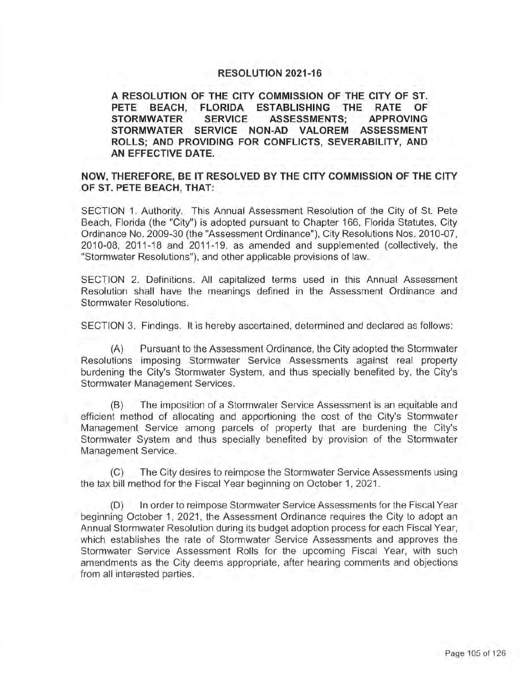## **RESOLUTION 2021-16**

**A RESOLUTION OF THE CITY COMMISSION OF THE CITY OF ST. PETE BEACH, FLORIDA ESTABLISHING THE RATE OF STORMWATER SERVICE ASSESSMENTS; APPROVING STORMWATER SERVICE NON-AD VALOREM ASSESSMENT ROLLS; AND PROVIDING FOR CONFLICTS, SEVERABILITY, AND AN EFFECTIVE DATE.** 

# **NOW, THEREFORE, BE IT RESOLVED BY THE CITY COMMISSION OF THE CITY OF ST. PETE BEACH, THAT:**

SECTION 1. Authority. This Annual Assessment Resolution of the City of St. Pete Beach, Florida (the "City") is adopted pursuant to Chapter 166, Florida Statutes, City Ordinance No. 2009-30 (the "Assessment Ordinance"), City Resolutions Nos. 2010-07, 2010-08, 2011-18 and 2011-19, as amended and supplemented (collectively, the "Stormwater Resolutions"), and other applicable provisions of law.

SECTION 2. Definitions. All capitalized terms used in this Annual Assessment Resolution shall have the meanings defined in the Assessment Ordinance and Stormwater Resolutions.

SECTION 3. Findings. It is hereby ascertained, determined and declared as follows:

(A) Pursuant to the Assessment Ordinance, the City adopted the Stormwater Resolutions imposing Stormwater Service Assessments against real property burdening the City's Stormwater System, and thus specially benefited by, the City's Stormwater Management Services.

(B) The imposition of a Stormwater Service Assessment is an equitable and efficient method of allocating and apportioning the cost of the City's Stormwater Management Service among parcels of property that are burdening the City's Stormwater System and thus specially benefited by provision of the Stormwater Management Service.

(C) The City desires to reimpose the Stormwater Service Assessments using the tax bill method for the Fiscal Year beginning on October 1, 2021.

(D) In order to reimpose Stormwater Service Assessments for the Fiscal Year beginning October 1, 2021, the Assessment Ordinance requires the City to adopt an Annual Stormwater Resolution during its budget adoption process for each Fiscal Year, which establishes the rate of Stormwater Service Assessments and approves the Stormwater Service Assessment Rolls for the upcoming Fiscal Year, with such amendments as the City deems appropriate, after hearing comments and objections from all interested parties.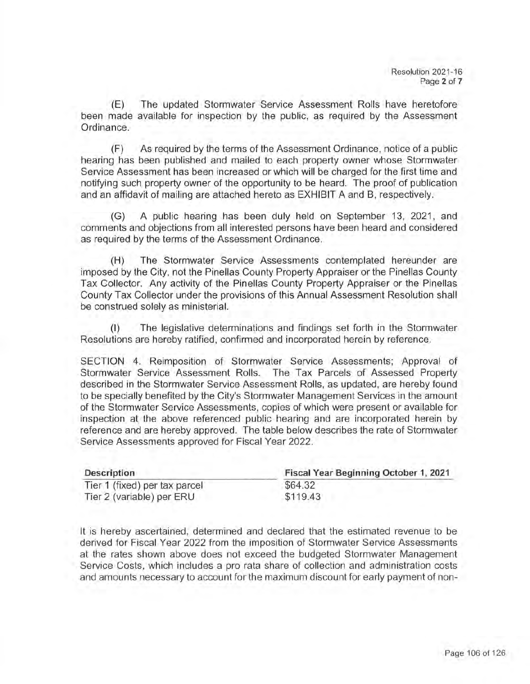(E) The updated Stormwater Service Assessment Rolls have heretofore been made available for inspection by the public, as required by the Assessment Ordinance.

(F) As required by the terms of the Assessment Ordinance, notice of a public hearing has been published and mailed to each property owner whose Stormwater Service Assessment has been increased or which will be charged for the first time and notifying such property owner of the opportunity to be heard. The proof of publication and an affidavit of mailing are attached hereto as EXHIBIT A and B, respectively.

(G) A public hearing has been duly held on September 13, 2021, and comments and objections from all interested persons have been heard and considered as required by the terms of the Assessment Ordinance.

(H) The Stormwater Service Assessments contemplated hereunder are imposed by the City, not the Pinellas County Property Appraiser or the Pinellas County Tax Collector. Any activity of the Pinellas County Property Appraiser or the Pinellas County Tax Collector under the provisions of this Annual Assessment Resolution shall be construed solely as ministerial.

(I) The legislative determinations and findings set forth in the Stormwater Resolutions are hereby ratified, confirmed and incorporated herein by reference.

SECTION 4. Reimposition of Stormwater Service Assessments; Approval of Stormwater Service Assessment Rolls. The Tax Parcels of Assessed Property described in the Stormwater Service Assessment Rolls, as updated, are hereby found to be specially benefited by the City's Stormwater Management Services in the amount of the Stormwater Service Assessments, copies of which were present or available for inspection at the above referenced public hearing and are incorporated herein by reference and are hereby approved. The table below describes the rate of Stormwater Service Assessments approved for Fiscal Year 2022.

| <b>Description</b>            | Fiscal Year Beginning October 1, 2021 |
|-------------------------------|---------------------------------------|
| Tier 1 (fixed) per tax parcel | \$64.32                               |
| Tier 2 (variable) per ERU     | \$119.43                              |

It is hereby ascertained, determined and declared that the estimated revenue to be derived for Fiscal Year 2022 from the imposition of Stormwater Service Assessments at the rates shown above does not exceed the budgeted Stormwater Management Service Costs, which includes a pro rata share of collection and administration costs and amounts necessary to account for the maximum discount for early payment of non-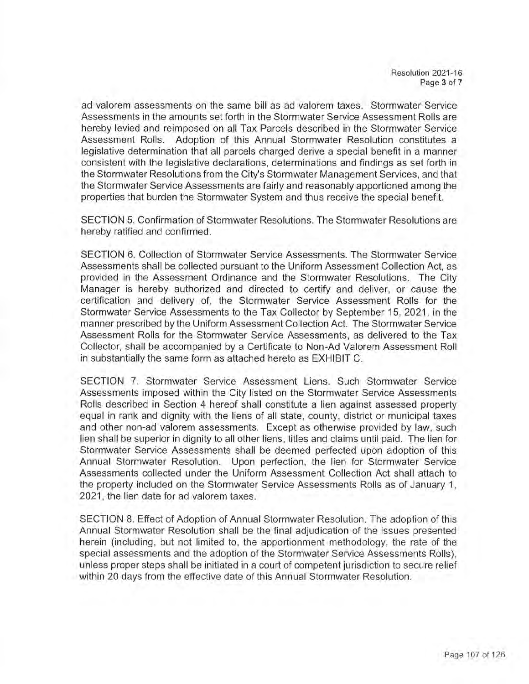ad valorem assessments on the same bill as ad valorem taxes. Stormwater Service Assessments in the amounts set forth in the Stormwater Service Assessment Rolls are hereby levied and reimposed on all Tax Parcels described in the Stormwater Service Assessment Rolls. Adoption of this Annual Stormwater Resolution constitutes a legislative determination that all parcels charged derive a special benefit in a manner consistent with the legislative declarations, determinations and findings as set forth in the Stormwater Resolutions from the City's Stormwater Management Services, and that the Stormwater Service Assessments are fairly and reasonably apportioned among the properties that burden the Stormwater System and thus receive the special benefit.

SECTION 5. Confirmation of Stormwater Resolutions. The Stormwater Resolutions are hereby ratified and confirmed.

SECTION 6. Collection of Stormwater Service Assessments. The Stormwater Service Assessments shall be collected pursuant to the Uniform Assessment Collection Act, as provided in the Assessment Ordinance and the Stormwater Resolutions. The City Manager is hereby authorized and directed to certify and deliver, or cause the certification and delivery of, the Stormwater Service Assessment Rolls for the Stormwater Service Assessments to the Tax Collector by September 15, 2021, in the manner prescribed by the Uniform Assessment Collection Act. The Stormwater Service Assessment Rolls for the Stormwater Service Assessments, as delivered to the Tax Collector, shall be accompanied by a Certificate to Non-Ad Valorem Assessment Roll in substantially the same form as attached hereto as EXHIBIT C.

SECTION 7. Stormwater Service Assessment Liens. Such Stormwater Service Assessments imposed within the City listed on the Stormwater Service Assessments Rolls described in Section 4 hereof shall constitute a lien against assessed property equal in rank and dignity with the liens of all state, county, district or municipal taxes and other non-ad valorem assessments. Except as otherwise provided by law, such lien shall be superior in dignity to all other liens, titles and claims until paid. The lien for Stormwater Service Assessments shall be deemed perfected upon adoption of this Annual Stormwater Resolution. Upon perfection, the lien for Stormwater Service Assessments collected under the Uniform Assessment Collection Act shall attach to the property included on the Stormwater Service Assessments Rolls as of January 1, 2021, the lien date for ad valorem taxes.

SECTION 8. Effect of Adoption of Annual Stormwater Resolution . The adoption of this Annual Stormwater Resolution shall be the final adjudication of the issues presented herein (including, but not limited to, the apportionment methodology, the rate of the special assessments and the adoption of the Stormwater Service Assessments Rolls), unless proper steps shall be initiated in a court of competent jurisdiction to secure relief within 20 days from the effective date of this Annual Stormwater Resolution .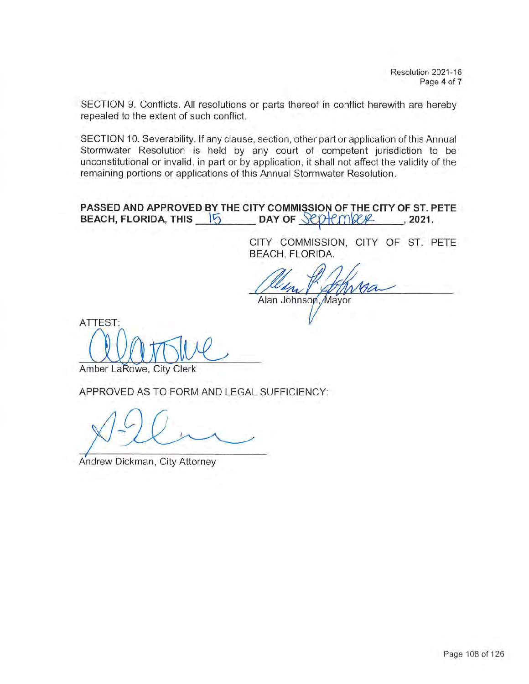SECTION 9. Conflicts. All resolutions or parts thereof in conflict herewith are hereby repealed to the extent of such conflict.

SECTION 10. Severability. If any clause, section, other part or application of this Annual Stormwater Resolution is held by any court of competent jurisdiction to be unconstitutional or invalid, in part or by application, it shall not affect the validity of the remaining portions or applications of this Annual Stormwater Resolution .

**PASSED AND APPROVED BY THE CITY COMMISSION OF THE CITY OF ST. PETE BEACH, FLORIDA, THIS** 15 DAY OF SEDEMICK, 2021.

> CITY COMMISSION, CITY OF ST. PETE BEACH, FLORIDA.

Alan Johnson, Mayor

ATTEST: AMBRITTING

APPROVED AS TO FORM AND LEGAL SUFFICIENCY:

,

Andrew Dickman, City Attorney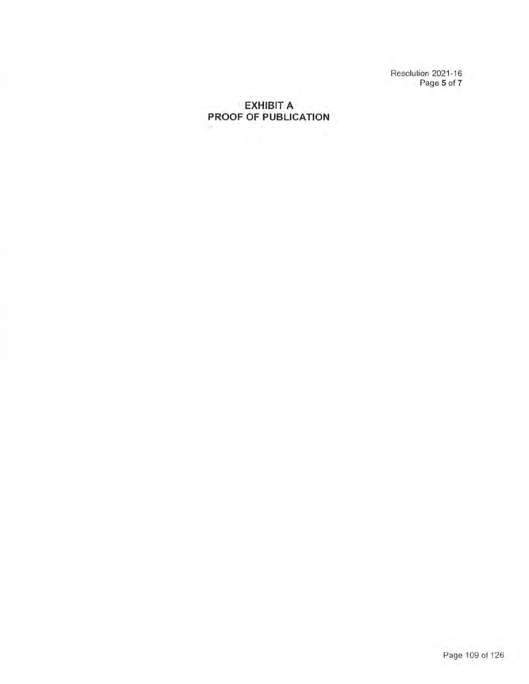Resolution 2021-16 Page **5** of **7** 

# **EXHIBIT A PROOF OF PUBLICATION**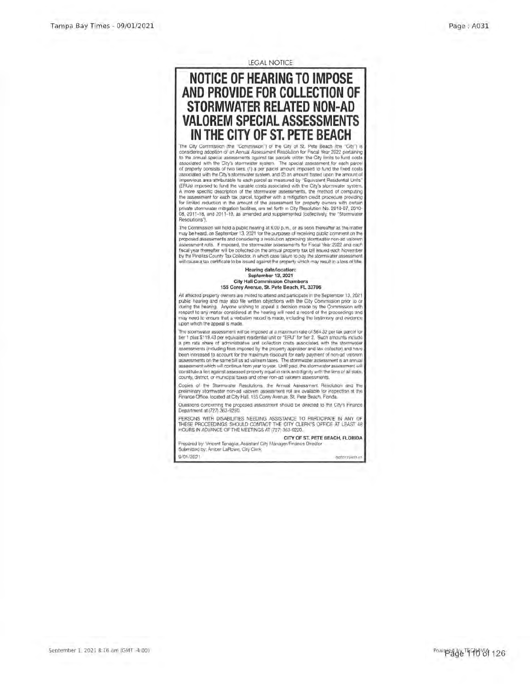LEGAL NOTICE

# **NOTICE OF HEARING TO IMPOSE AND PROVIDE FOR COLLECTION OF STORMWATER RELATED NON-AD VALOREM SPECIAL ASSESSM IN THE CITY OF ST. PETE BEAC**

The City Commission (the "Commission") of the City of St. Pete Beach (the "City") considering adoption of an Annual Assessment Resolution for Fiscal Year 2022 pertaining<br>to the annual special assessments against (as parcels within the City limits to fund costs<br>associated with the City's stormwater syste associated with the City's stormwater system, and (2) an amount based upon the amount of impervious area attributable to each parcel as measured by ''Equivalent Residential Units'' (ERUs) imposed to fund the variable costs associated with the City's stormwater system. A more specific description of the stormwater assessments, the method of computing the assessment for each tax parcel, together with a mitigation credit procedure providing for limited reduction in the amount of the assessment for property owners with certain private stormwater mitigation facilities, are set forth in City Resolution No. 2010-07, 2010- 08, 2011-18, and 2011-19, as amended and supplemented (collectively, the "Storn Resolutions").

The Commission will hold a public hearing at 6:00 p.m., or as soon thereafter as the matter may be heard, on September 13, 2021 tor the purposes of receiving public comment on the proposed assessments and considering a resolution approving stormwater non-ad valorem assessment rolls. If imposed, the stormwater assessments for Fiscal Year 2022 and each fiscal year thereafter will be collected on the annual property tax bill issued each November by the Pinellas County Tax Collector, in which case failure to pay the stormwater assessment will cause a tax certificate to be issued against the property which may result in a loss of title.

### Hearing date/location: **September 13, 2021**  City Hall Commission Chambers 155 Corey Avenue, St. Pete Beach, FL 33706

All affected property owners are invited to attend and participate in the September 13, 2021 public hearing and may also file written objections with the City Commission prior to or during the hearing. Anyone wishing to appeal a decision made by the Commission with<br>respect to any matter considered at the hearing will need a record of the proceedings and<br>may need to ensure that a verbatim record is mad upon which the appeal Is made.

The stormwater assessment will be imposed at a maximum rate of \$64.32 per tax parcel for tier 1 plus \$119.43 per equivalent residential unit or "EAU" for tier 2. Such amounts include a pro rata share of administrative and collection costs associated with the stormwate assessments (including fees imposed by the property appraiser and lax. collector) and have been increased to account for the maximum discount for early payment of non-ad valorem sessments on the same bill as ad valorem taxes. The stormwater assessment is an annual assessment which will continue from year to year. Until paid, the stormwater assessment will constitute a lien against assessed property equal in rank and dignity with the liens of all state, county, district, or municipal taxes and other non-ad valorem assessments.

Copies of the Stormwater Resolutions, the Annual Assessment Resolution and the preliminary stormwater non-ad valorem assessment roll are available for inspection at the Finance Office, located at City Hall, 155 Corey Avenue, St. Pete Beach, Florida.

Questions concerning the proposed assessment should be directed to the City's Finance Department at (727) 363-9250.

PERSONS WITH DISABILITIES NEEDING ASSISTANCE TO PARTICIPATE IN ANY OF THESE PROCEEDINGS SHOULD CONTACT THE CITY CLERK'S OFFICE AT LEAST 48 HOURS IN ADVANCE OF THE MEETINGS AT (727) 363-9220.

**CITY OF ST. PETE BEACH, FLORIDA** 

Prepared by: Vincent Tenaglia, Assistant City Manager/Finance Director Submitted by: Amber LaRowe, City Clerk 9/01/2021 00001798034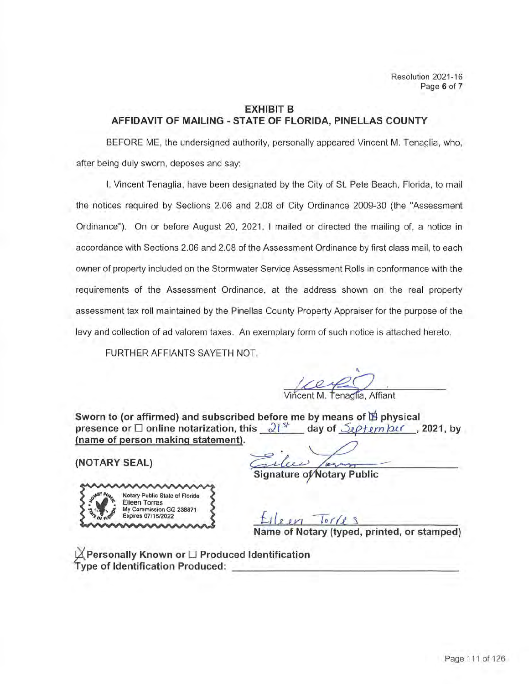# **EXHIBIT B AFFIDAVIT OF MAILING -STATE OF FLORIDA, PINELLAS COUNTY**

BEFORE ME, the undersigned authority, personally appeared Vincent M. Tenaglia, who, after being duly sworn, deposes and say:

I, Vincent Tenaglia, have been designated by the City of St. Pete Beach, Florida, to mail the notices required by Sections 2.06 and 2.08 of City Ordinance 2009-30 (the "Assessment Ordinance"). On or before August 20, 2021, I mailed or directed the mailing of, a notice in accordance with Sections 2.06 and 2.08 of the Assessment Ordinance by first class mail, to each owner of property included on the Stormwater Service Assessment Rolls in conformance with the requirements of the Assessment Ordinance, at the address shown on the real property assessment tax roll maintained by the Pinellas County Property Appraiser for the purpose of the levy and collection of ad valorem taxes. An exemplary form of such notice is attached hereto.

FURTHER AFFIANTS SAYETH NOT.

Vincent M. Tenaglia, Affiant

**Sworn to (or affirmed) and subscribed before me by means of lE- physical presence or □ online notarization, this**  $\frac{21^{5k}}{k}$  day of  $\frac{5k}{k}$  *term <code>pucree</code>, 2021, by* **(name of person making statement).** 

**(NOT ARY SEAL)** 

nature of∕Notary Public



 $10118$ 

**Name of Notary (typed, printed, or stamped)** 

li **Personally Known or** □ **Produced Identification Type of Identification Produced:** \_\_\_\_\_\_\_\_\_\_\_\_\_\_\_\_\_\_\_\_